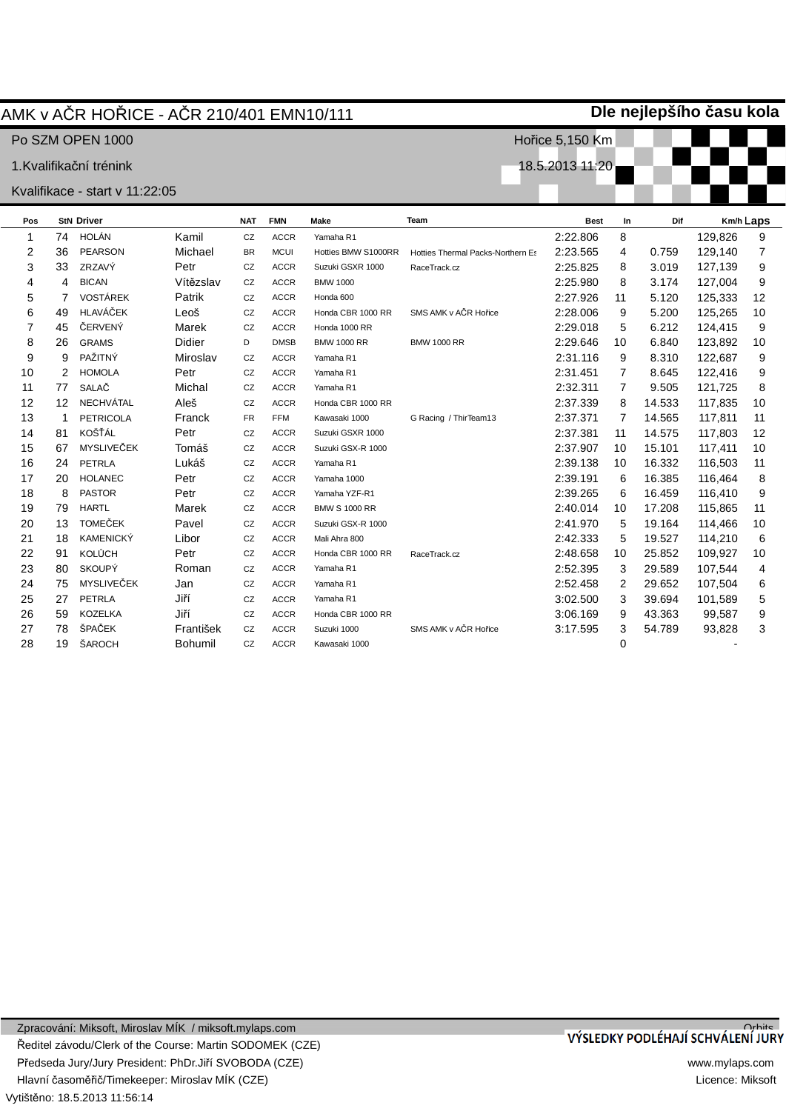# AMK v AýR HOěICE - AýR 210/401 EMN10/111

Po SZM OPEN 1000

1.Kvalifikační trénink

### Kvalifikace - start v 11:22:05

| Pos            |                   | <b>StN Driver</b> |                | <b>NAT</b> | <b>FMN</b>  | Make                 | Team                              | <b>Best</b> | In             | Dif    |         | Km/h Laps |
|----------------|-------------------|-------------------|----------------|------------|-------------|----------------------|-----------------------------------|-------------|----------------|--------|---------|-----------|
| 1              | 74                | HOLÁN             | Kamil          | CZ         | <b>ACCR</b> | Yamaha R1            |                                   | 2:22.806    | 8              |        | 129,826 | 9         |
| $\overline{2}$ | 36                | <b>PEARSON</b>    | Michael        | <b>BR</b>  | <b>MCUI</b> | Hotties BMW S1000RR  | Hotties Thermal Packs-Northern Es | 2:23.565    | 4              | 0.759  | 129,140 | 7         |
| 3              | 33                | ZRZAVÝ            | Petr           | CZ         | <b>ACCR</b> | Suzuki GSXR 1000     | RaceTrack.cz                      | 2:25.825    | 8              | 3.019  | 127,139 | 9         |
| 4              | 4                 | <b>BICAN</b>      | Vítězslav      | CZ         | <b>ACCR</b> | <b>BMW 1000</b>      |                                   | 2:25.980    | 8              | 3.174  | 127,004 | 9         |
| 5              | 7                 | <b>VOSTÁREK</b>   | Patrik         | CZ         | <b>ACCR</b> | Honda 600            |                                   | 2:27.926    | 11             | 5.120  | 125,333 | 12        |
| 6              | 49                | HLAVÁČEK          | Leoš           | CZ         | <b>ACCR</b> | Honda CBR 1000 RR    | SMS AMK v AČR Hořice              | 2:28.006    | 9              | 5.200  | 125,265 | 10        |
| 7              | 45                | ČERVENÝ           | Marek          | CZ         | <b>ACCR</b> | Honda 1000 RR        |                                   | 2:29.018    | 5              | 6.212  | 124,415 | 9         |
| 8              | 26                | <b>GRAMS</b>      | Didier         | D          | <b>DMSB</b> | <b>BMW 1000 RR</b>   | <b>BMW 1000 RR</b>                | 2:29.646    | 10             | 6.840  | 123,892 | 10        |
| 9              | 9                 | PAŽITNÝ           | Miroslav       | CZ         | <b>ACCR</b> | Yamaha R1            |                                   | 2:31.116    | 9              | 8.310  | 122,687 | 9         |
| 10             | 2                 | <b>HOMOLA</b>     | Petr           | CZ         | <b>ACCR</b> | Yamaha R1            |                                   | 2:31.451    | 7              | 8.645  | 122,416 | 9         |
| 11             | 77                | SALAČ             | Michal         | CZ         | <b>ACCR</b> | Yamaha R1            |                                   | 2:32.311    | $\overline{7}$ | 9.505  | 121,725 | 8         |
| 12             | $12 \overline{ }$ | <b>NECHVÁTAL</b>  | Aleš           | CZ         | <b>ACCR</b> | Honda CBR 1000 RR    |                                   | 2:37.339    | 8              | 14.533 | 117,835 | 10        |
| 13             | 1                 | <b>PETRICOLA</b>  | Franck         | <b>FR</b>  | <b>FFM</b>  | Kawasaki 1000        | G Racing / ThirTeam13             | 2:37.371    | 7              | 14.565 | 117,811 | 11        |
| 14             | 81                | KOŠŤÁL            | Petr           | CZ         | <b>ACCR</b> | Suzuki GSXR 1000     |                                   | 2:37.381    | 11             | 14.575 | 117,803 | 12        |
| 15             | 67                | MYSLIVEČEK        | Tomáš          | CZ         | <b>ACCR</b> | Suzuki GSX-R 1000    |                                   | 2:37.907    | 10             | 15.101 | 117,411 | 10        |
| 16             | 24                | PETRLA            | Lukáš          | CZ         | <b>ACCR</b> | Yamaha R1            |                                   | 2:39.138    | 10             | 16.332 | 116,503 | 11        |
| 17             | 20                | <b>HOLANEC</b>    | Petr           | CZ         | <b>ACCR</b> | Yamaha 1000          |                                   | 2:39.191    | 6              | 16.385 | 116.464 | 8         |
| 18             | 8                 | <b>PASTOR</b>     | Petr           | CZ         | <b>ACCR</b> | Yamaha YZF-R1        |                                   | 2:39.265    | 6              | 16.459 | 116,410 | 9         |
| 19             | 79                | <b>HARTL</b>      | Marek          | CZ         | <b>ACCR</b> | <b>BMW S 1000 RR</b> |                                   | 2:40.014    | 10             | 17.208 | 115,865 | 11        |
| 20             | 13                | <b>TOMEČEK</b>    | Pavel          | CZ         | <b>ACCR</b> | Suzuki GSX-R 1000    |                                   | 2:41.970    | 5              | 19.164 | 114,466 | 10        |
| 21             | 18                | <b>KAMENICKÝ</b>  | Libor          | CZ         | <b>ACCR</b> | Mali Ahra 800        |                                   | 2:42.333    | 5              | 19.527 | 114,210 | 6         |
| 22             | 91                | <b>KOLŮCH</b>     | Petr           | CZ         | <b>ACCR</b> | Honda CBR 1000 RR    | RaceTrack.cz                      | 2:48.658    | 10             | 25.852 | 109,927 | 10        |
| 23             | 80                | <b>SKOUPÝ</b>     | Roman          | CZ         | <b>ACCR</b> | Yamaha R1            |                                   | 2:52.395    | 3              | 29.589 | 107,544 | 4         |
| 24             | 75                | MYSLIVEČEK        | Jan            | CZ         | <b>ACCR</b> | Yamaha R1            |                                   | 2:52.458    | 2              | 29.652 | 107,504 | 6         |
| 25             | 27                | <b>PETRLA</b>     | Jiří           | CZ         | <b>ACCR</b> | Yamaha R1            |                                   | 3:02.500    | 3              | 39.694 | 101,589 | 5         |
| 26             | 59                | <b>KOZELKA</b>    | Jiří           | CZ         | <b>ACCR</b> | Honda CBR 1000 RR    |                                   | 3:06.169    | 9              | 43.363 | 99,587  | 9         |
| 27             | 78                | ŠPAČEK            | František      | CZ         | <b>ACCR</b> | Suzuki 1000          | SMS AMK v AČR Hořice              | 3:17.595    | 3              | 54.789 | 93,828  | 3         |
| 28             | 19                | ŠAROCH            | <b>Bohumil</b> | CZ         | <b>ACCR</b> | Kawasaki 1000        |                                   |             | 0              |        |         |           |

**Dle nejlepšího þasu kola**

Hořice 5,150 Km

18.5.2013 11:20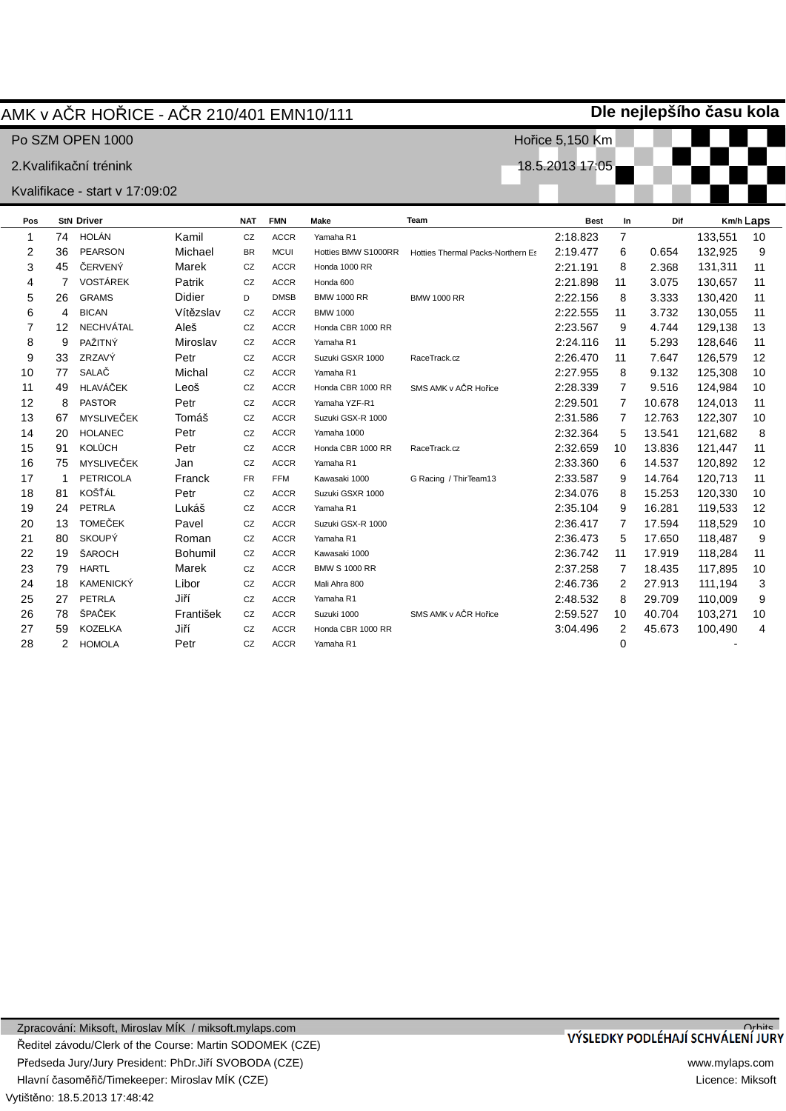## AMK v AýR HOěICE - AýR 210/401 EMN10/111

Po SZM OPEN 1000

#### 2.Kvalifikační trénink

### Kvalifikace - start v 17:09:02

| Pos |    | <b>StN Driver</b> |                | <b>NAT</b> | <b>FMN</b>  | Make                 | Team                              | <b>Best</b> | In             | Dif    |         | Km/h Laps      |
|-----|----|-------------------|----------------|------------|-------------|----------------------|-----------------------------------|-------------|----------------|--------|---------|----------------|
| 1   | 74 | HOLÁN             | Kamil          | CZ         | <b>ACCR</b> | Yamaha R1            |                                   | 2:18.823    | $\overline{7}$ |        | 133,551 | 10             |
| 2   | 36 | <b>PEARSON</b>    | Michael        | <b>BR</b>  | <b>MCUI</b> | Hotties BMW S1000RR  | Hotties Thermal Packs-Northern Es | 2:19.477    | 6              | 0.654  | 132,925 | 9              |
| 3   | 45 | ČERVENÝ           | Marek          | CZ         | <b>ACCR</b> | Honda 1000 RR        |                                   | 2:21.191    | 8              | 2.368  | 131,311 | 11             |
| 4   | 7  | <b>VOSTÁREK</b>   | Patrik         | CZ         | <b>ACCR</b> | Honda 600            |                                   | 2:21.898    | 11             | 3.075  | 130,657 | 11             |
| 5   | 26 | <b>GRAMS</b>      | <b>Didier</b>  | D          | <b>DMSB</b> | <b>BMW 1000 RR</b>   | <b>BMW 1000 RR</b>                | 2:22.156    | 8              | 3.333  | 130,420 | 11             |
| 6   | 4  | <b>BICAN</b>      | Vítězslav      | CZ         | <b>ACCR</b> | <b>BMW 1000</b>      |                                   | 2:22.555    | 11             | 3.732  | 130,055 | 11             |
| 7   | 12 | <b>NECHVÁTAL</b>  | Aleš           | CZ         | <b>ACCR</b> | Honda CBR 1000 RR    |                                   | 2:23.567    | 9              | 4.744  | 129,138 | 13             |
| 8   | 9  | PAŽITNÝ           | Miroslav       | CZ         | <b>ACCR</b> | Yamaha R1            |                                   | 2:24.116    | 11             | 5.293  | 128,646 | 11             |
| 9   | 33 | ZRZAVÝ            | Petr           | CZ         | <b>ACCR</b> | Suzuki GSXR 1000     | RaceTrack.cz                      | 2:26.470    | 11             | 7.647  | 126,579 | 12             |
| 10  | 77 | SALAČ             | Michal         | CZ         | <b>ACCR</b> | Yamaha R1            |                                   | 2:27.955    | 8              | 9.132  | 125,308 | 10             |
| 11  | 49 | HLAVÁČEK          | Leoš           | CZ         | <b>ACCR</b> | Honda CBR 1000 RR    | SMS AMK v AČR Hořice              | 2:28.339    | $\overline{7}$ | 9.516  | 124,984 | 10             |
| 12  | 8  | <b>PASTOR</b>     | Petr           | CZ         | <b>ACCR</b> | Yamaha YZF-R1        |                                   | 2:29.501    | 7              | 10.678 | 124,013 | 11             |
| 13  | 67 | MYSLIVEČEK        | Tomáš          | CZ         | <b>ACCR</b> | Suzuki GSX-R 1000    |                                   | 2:31.586    | 7              | 12.763 | 122,307 | 10             |
| 14  | 20 | <b>HOLANEC</b>    | Petr           | CZ         | <b>ACCR</b> | Yamaha 1000          |                                   | 2:32.364    | 5              | 13.541 | 121,682 | 8              |
| 15  | 91 | <b>KOLŮCH</b>     | Petr           | CZ         | <b>ACCR</b> | Honda CBR 1000 RR    | RaceTrack.cz                      | 2:32.659    | 10             | 13.836 | 121,447 | 11             |
| 16  | 75 | MYSLIVEČEK        | Jan            | CZ         | <b>ACCR</b> | Yamaha R1            |                                   | 2:33.360    | 6              | 14.537 | 120,892 | 12             |
| 17  |    | <b>PETRICOLA</b>  | Franck         | <b>FR</b>  | <b>FFM</b>  | Kawasaki 1000        | G Racing / ThirTeam13             | 2:33.587    | 9              | 14.764 | 120,713 | 11             |
| 18  | 81 | KOŠŤÁL            | Petr           | CZ         | <b>ACCR</b> | Suzuki GSXR 1000     |                                   | 2:34.076    | 8              | 15.253 | 120,330 | 10             |
| 19  | 24 | PETRLA            | Lukáš          | CZ         | <b>ACCR</b> | Yamaha R1            |                                   | 2:35.104    | 9              | 16.281 | 119,533 | 12             |
| 20  | 13 | <b>TOMEČEK</b>    | Pavel          | CZ         | <b>ACCR</b> | Suzuki GSX-R 1000    |                                   | 2:36.417    | 7              | 17.594 | 118,529 | 10             |
| 21  | 80 | <b>SKOUPÝ</b>     | Roman          | CZ         | <b>ACCR</b> | Yamaha R1            |                                   | 2:36.473    | 5              | 17.650 | 118,487 | 9              |
| 22  | 19 | ŠAROCH            | <b>Bohumil</b> | CZ         | <b>ACCR</b> | Kawasaki 1000        |                                   | 2:36.742    | 11             | 17.919 | 118,284 | 11             |
| 23  | 79 | <b>HARTL</b>      | Marek          | CZ         | <b>ACCR</b> | <b>BMW S 1000 RR</b> |                                   | 2:37.258    | 7              | 18.435 | 117,895 | 10             |
| 24  | 18 | <b>KAMENICKÝ</b>  | Libor          | CZ         | <b>ACCR</b> | Mali Ahra 800        |                                   | 2:46.736    | 2              | 27.913 | 111,194 | 3              |
| 25  | 27 | PETRLA            | Jiří           | CZ         | <b>ACCR</b> | Yamaha R1            |                                   | 2:48.532    | 8              | 29.709 | 110,009 | 9              |
| 26  | 78 | ŠPAČEK            | František      | CZ         | <b>ACCR</b> | Suzuki 1000          | SMS AMK v AČR Hořice              | 2:59.527    | 10             | 40.704 | 103,271 | 10             |
| 27  | 59 | <b>KOZELKA</b>    | Jiří           | CZ         | <b>ACCR</b> | Honda CBR 1000 RR    |                                   | 3:04.496    | 2              | 45.673 | 100,490 | $\overline{4}$ |
| 28  | 2  | <b>HOMOLA</b>     | Petr           | CZ         | <b>ACCR</b> | Yamaha R1            |                                   |             | 0              |        |         |                |

**Dle nejlepšího þasu kola**

Hořice 5,150 Km

18.5.2013 17:05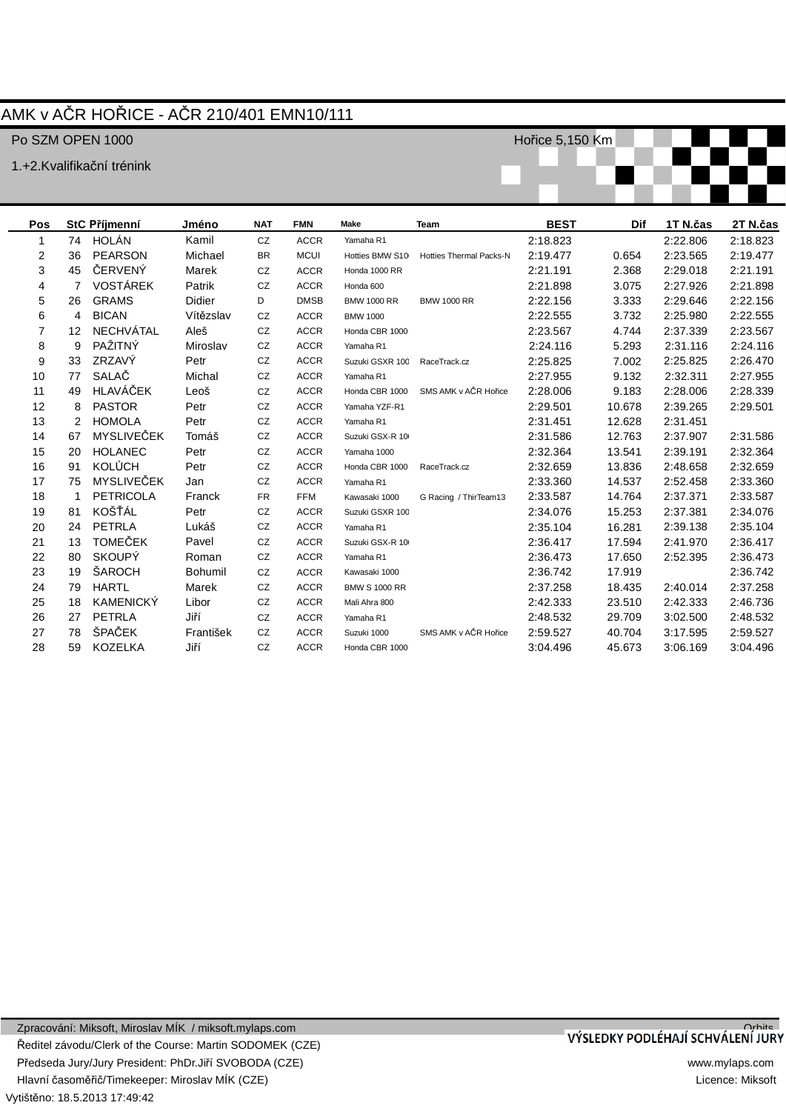# AMK v AýR HOěICE - AýR 210/401 EMN10/111

### Po SZM OPEN 1000

1.+2.Kvalifikační trénink

Hořice 5,150 Km

| Pos            |                   |                   | Jméno                            | <b>NAT</b> | <b>FMN</b>  | <b>Make</b>          | <b>Team</b>                    | <b>BEST</b> | Dif    | 1T N.čas | 2T N.čas |
|----------------|-------------------|-------------------|----------------------------------|------------|-------------|----------------------|--------------------------------|-------------|--------|----------|----------|
| 1              |                   |                   | Kamil                            | CZ         | <b>ACCR</b> | Yamaha R1            |                                | 2:18.823    |        | 2:22.806 | 2:18.823 |
| 2              | 36                | <b>PEARSON</b>    | Michael                          | BR         | <b>MCUI</b> | Hotties BMW S10      | <b>Hotties Thermal Packs-N</b> | 2:19.477    | 0.654  | 2:23.565 | 2:19.477 |
| 3              | 45                | ČERVENÝ           | Marek                            | CZ         | <b>ACCR</b> | Honda 1000 RR        |                                | 2:21.191    | 2.368  | 2:29.018 | 2:21.191 |
| 4              | $\overline{7}$    | <b>VOSTÁREK</b>   | Patrik                           | CZ         | <b>ACCR</b> | Honda 600            |                                | 2:21.898    | 3.075  | 2:27.926 | 2:21.898 |
| 5              | 26                | <b>GRAMS</b>      | Didier                           | D          | <b>DMSB</b> | <b>BMW 1000 RR</b>   | <b>BMW 1000 RR</b>             | 2:22.156    | 3.333  | 2:29.646 | 2:22.156 |
| 6              | $\overline{4}$    | <b>BICAN</b>      | Vítězslav                        | CZ         | <b>ACCR</b> | <b>BMW 1000</b>      |                                | 2:22.555    | 3.732  | 2:25.980 | 2:22.555 |
| $\overline{7}$ | $12 \overline{ }$ | <b>NECHVÁTAL</b>  | Aleš                             | CZ         | <b>ACCR</b> | Honda CBR 1000       |                                | 2:23.567    | 4.744  | 2:37.339 | 2:23.567 |
| 8              | 9                 | PAŽITNÝ           | Miroslav                         | CZ         | <b>ACCR</b> | Yamaha R1            |                                | 2:24.116    | 5.293  | 2:31.116 | 2:24.116 |
| 9              | 33                | ZRZAVÝ            | Petr                             | CZ         | <b>ACCR</b> | Suzuki GSXR 100      | RaceTrack.cz                   | 2:25.825    | 7.002  | 2:25.825 | 2:26.470 |
| 10             | 77                | SALAČ             | Michal                           | CZ         | <b>ACCR</b> | Yamaha R1            |                                | 2:27.955    | 9.132  | 2:32.311 | 2:27.955 |
| 11             | 49                | HLAVÁČEK          | Leoš                             | CZ         | <b>ACCR</b> | Honda CBR 1000       | SMS AMK v AČR Hořice           | 2:28.006    | 9.183  | 2:28.006 | 2:28.339 |
| 12             | 8                 | <b>PASTOR</b>     | Petr                             | CZ         | <b>ACCR</b> | Yamaha YZF-R1        |                                | 2:29.501    | 10.678 | 2:39.265 | 2:29.501 |
| 13             | $\overline{2}$    | <b>HOMOLA</b>     | Petr                             | CZ         | <b>ACCR</b> | Yamaha R1            |                                | 2:31.451    | 12.628 | 2:31.451 |          |
| 14             | 67                | <b>MYSLIVEČEK</b> | Tomáš                            | CZ         | <b>ACCR</b> | Suzuki GSX-R 10      |                                | 2:31.586    | 12.763 | 2:37.907 | 2:31.586 |
| 15             | 20                | <b>HOLANEC</b>    | Petr                             | CZ         | <b>ACCR</b> | Yamaha 1000          |                                | 2:32.364    | 13.541 | 2:39.191 | 2:32.364 |
| 16             | 91                | <b>KOLŮCH</b>     | Petr                             | CZ         | <b>ACCR</b> | Honda CBR 1000       | RaceTrack.cz                   | 2:32.659    | 13.836 | 2:48.658 | 2:32.659 |
| 17             | 75                | <b>MYSLIVEČEK</b> | Jan                              | CZ         | <b>ACCR</b> | Yamaha R1            |                                | 2:33.360    | 14.537 | 2:52.458 | 2:33.360 |
| 18             | 1                 | <b>PETRICOLA</b>  | Franck                           | <b>FR</b>  | <b>FFM</b>  | Kawasaki 1000        | G Racing / ThirTeam13          | 2:33.587    | 14.764 | 2:37.371 | 2:33.587 |
| 19             | 81                | KOŠŤÁL            | Petr                             | CZ         | <b>ACCR</b> | Suzuki GSXR 100      |                                | 2:34.076    | 15.253 | 2:37.381 | 2:34.076 |
| 20             | 24                | PETRLA            | Lukáš                            | CZ         | <b>ACCR</b> | Yamaha R1            |                                | 2:35.104    | 16.281 | 2:39.138 | 2:35.104 |
| 21             | 13                | <b>TOMEČEK</b>    | Pavel                            | CZ         | <b>ACCR</b> | Suzuki GSX-R 10      |                                | 2:36.417    | 17.594 | 2:41.970 | 2:36.417 |
| 22             | 80                | <b>SKOUPÝ</b>     | Roman                            | CZ         | <b>ACCR</b> | Yamaha R1            |                                | 2:36.473    | 17.650 | 2:52.395 | 2:36.473 |
| 23             | 19                | ŠAROCH            | <b>Bohumil</b>                   | CZ         | <b>ACCR</b> | Kawasaki 1000        |                                | 2:36.742    | 17.919 |          | 2:36.742 |
| 24             | 79                | <b>HARTL</b>      | Marek                            | CZ         | <b>ACCR</b> | <b>BMW S 1000 RR</b> |                                | 2:37.258    | 18.435 | 2:40.014 | 2:37.258 |
| 25             | 18                | <b>KAMENICKÝ</b>  | Libor                            | CZ         | <b>ACCR</b> | Mali Ahra 800        |                                | 2:42.333    | 23.510 | 2:42.333 | 2:46.736 |
| 26             | 27                | PETRLA            | Jiří                             | CZ         | <b>ACCR</b> | Yamaha R1            |                                | 2:48.532    | 29.709 | 3:02.500 | 2:48.532 |
| 27             | 78                | ŠPAČEK            | František                        | CZ         | <b>ACCR</b> | Suzuki 1000          | SMS AMK v AČR Hořice           | 2:59.527    | 40.704 | 3:17.595 | 2:59.527 |
| 28             | 59                | <b>KOZELKA</b>    | Jiří                             | CZ         | <b>ACCR</b> | Honda CBR 1000       |                                | 3:04.496    | 45.673 | 3:06.169 | 3:04.496 |
|                |                   |                   | <b>StC Příjmenní</b><br>74 HOLÁN |            |             |                      |                                |             |        |          |          |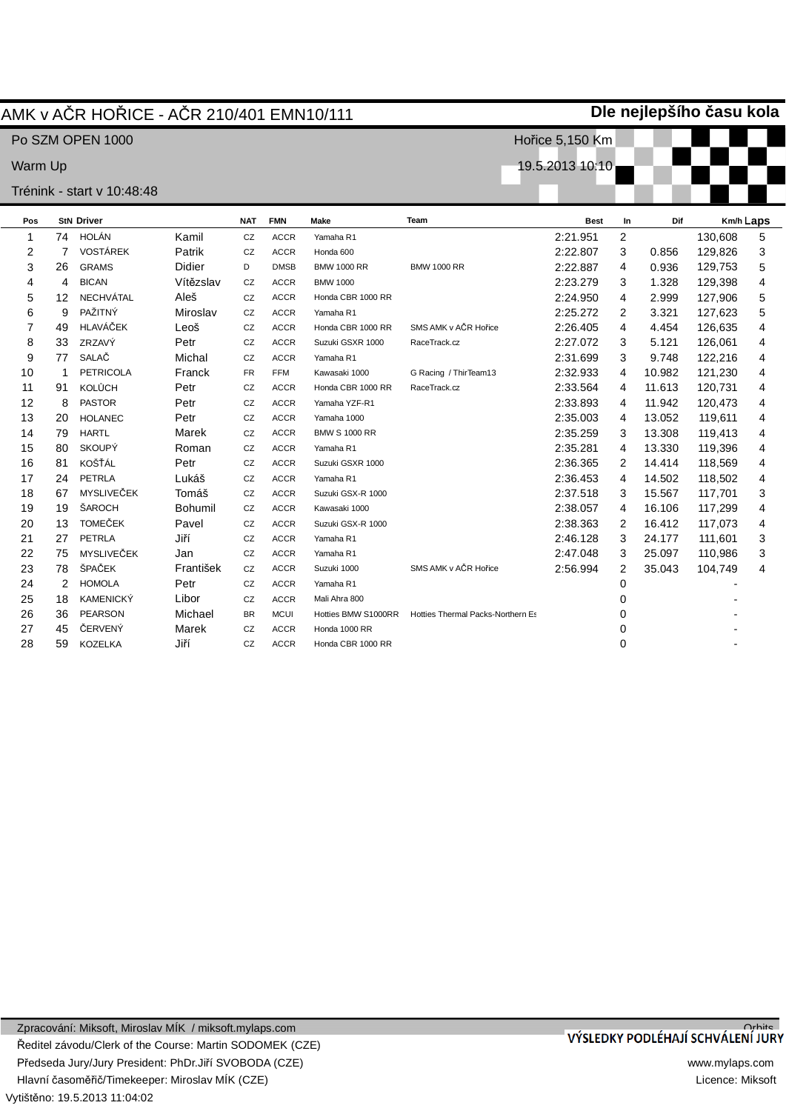|                |    | AMK v AČR HOŘICE - AČR 210/401 EMN10/111 |                |            |             |                      |                                   |                         |                | Dle nejlepšího času kola |         |           |
|----------------|----|------------------------------------------|----------------|------------|-------------|----------------------|-----------------------------------|-------------------------|----------------|--------------------------|---------|-----------|
|                |    | Po SZM OPEN 1000                         |                |            |             |                      |                                   | Hořice 5,150 Km         |                |                          |         |           |
| Warm Up        |    |                                          |                |            |             |                      |                                   | <u>19.5.2013 10:10 </u> |                |                          |         |           |
|                |    | Trénink - start v 10:48:48               |                |            |             |                      |                                   |                         |                |                          |         |           |
| Pos            |    | <b>StN Driver</b>                        |                | <b>NAT</b> | <b>FMN</b>  | <b>Make</b>          | Team                              | <b>Best</b>             | In             | Dif                      |         | Km/h Laps |
| 1              |    | 74 HOLÁN                                 | Kamil          | CZ         | <b>ACCR</b> | Yamaha R1            |                                   | 2:21.951                | $\overline{2}$ |                          | 130,608 | 5         |
| 2              | 7  | <b>VOSTÁREK</b>                          | Patrik         | CZ         | <b>ACCR</b> | Honda 600            |                                   | 2:22.807                | 3              | 0.856                    | 129,826 | 3         |
| 3              | 26 | <b>GRAMS</b>                             | <b>Didier</b>  | D          | <b>DMSB</b> | <b>BMW 1000 RR</b>   | <b>BMW 1000 RR</b>                | 2:22.887                | 4              | 0.936                    | 129,753 | 5         |
| 4              | 4  | <b>BICAN</b>                             | Vítězslav      | CZ         | <b>ACCR</b> | <b>BMW 1000</b>      |                                   | 2:23.279                | 3              | 1.328                    | 129,398 | 4         |
| 5              | 12 | <b>NECHVÁTAL</b>                         | Aleš           | CZ         | <b>ACCR</b> | Honda CBR 1000 RR    |                                   | 2:24.950                | 4              | 2.999                    | 127,906 | 5         |
| 6              | 9  | PAŽITNÝ                                  | Miroslav       | CZ         | <b>ACCR</b> | Yamaha R1            |                                   | 2:25.272                | $\overline{2}$ | 3.321                    | 127,623 | 5         |
| $\overline{7}$ | 49 | <b>HLAVÁČEK</b>                          | Leoš           | CZ         | <b>ACCR</b> | Honda CBR 1000 RR    | SMS AMK v AČR Hořice              | 2:26.405                | 4              | 4.454                    | 126,635 | 4         |
| 8              | 33 | ZRZAVÝ                                   | Petr           | CZ         | <b>ACCR</b> | Suzuki GSXR 1000     | RaceTrack.cz                      | 2:27.072                | 3              | 5.121                    | 126,061 | 4         |
| 9              | 77 | SALAČ                                    | Michal         | CZ         | <b>ACCR</b> | Yamaha R1            |                                   | 2:31.699                | 3              | 9.748                    | 122,216 | 4         |
| 10             | 1  | <b>PETRICOLA</b>                         | Franck         | <b>FR</b>  | <b>FFM</b>  | Kawasaki 1000        | G Racing / ThirTeam13             | 2:32.933                | 4              | 10.982                   | 121,230 | 4         |
| 11             | 91 | <b>KOLŮCH</b>                            | Petr           | ${\tt CZ}$ | <b>ACCR</b> | Honda CBR 1000 RR    | RaceTrack.cz                      | 2:33.564                | 4              | 11.613                   | 120,731 | 4         |
| 12             | 8  | <b>PASTOR</b>                            | Petr           | CZ         | <b>ACCR</b> | Yamaha YZF-R1        |                                   | 2:33.893                | 4              | 11.942                   | 120,473 | 4         |
| 13             | 20 | <b>HOLANEC</b>                           | Petr           | CZ         | <b>ACCR</b> | Yamaha 1000          |                                   | 2:35.003                | 4              | 13.052                   | 119,611 | 4         |
| 14             | 79 | <b>HARTL</b>                             | Marek          | CZ         | <b>ACCR</b> | <b>BMW S 1000 RR</b> |                                   | 2:35.259                | 3              | 13.308                   | 119,413 | 4         |
| 15             | 80 | <b>SKOUPÝ</b>                            | Roman          | CZ         | <b>ACCR</b> | Yamaha R1            |                                   | 2:35.281                | 4              | 13.330                   | 119,396 | 4         |
| 16             | 81 | KOŠŤÁL                                   | Petr           | CZ         | <b>ACCR</b> | Suzuki GSXR 1000     |                                   | 2:36.365                | 2              | 14.414                   | 118,569 | 4         |
| 17             | 24 | PETRLA                                   | Lukáš          | CZ         | <b>ACCR</b> | Yamaha R1            |                                   | 2:36.453                | 4              | 14.502                   | 118,502 | 4         |
| 18             | 67 | MYSLIVEČEK                               | Tomáš          | CZ         | <b>ACCR</b> | Suzuki GSX-R 1000    |                                   | 2:37.518                | 3              | 15.567                   | 117,701 | 3         |
| 19             | 19 | ŠAROCH                                   | <b>Bohumil</b> | CZ         | <b>ACCR</b> | Kawasaki 1000        |                                   | 2:38.057                | 4              | 16.106                   | 117,299 | 4         |
| 20             | 13 | <b>TOMEČEK</b>                           | Pavel          | CZ         | <b>ACCR</b> | Suzuki GSX-R 1000    |                                   | 2:38.363                | 2              | 16.412                   | 117,073 | 4         |
| 21             | 27 | <b>PETRLA</b>                            | Jiří           | CZ         | <b>ACCR</b> | Yamaha R1            |                                   | 2:46.128                | 3              | 24.177                   | 111,601 | 3         |
| 22             | 75 | MYSLIVEČEK                               | Jan            | CZ         | <b>ACCR</b> | Yamaha R1            |                                   | 2:47.048                | 3              | 25.097                   | 110,986 | 3         |
| 23             | 78 | ŠPAČEK                                   | František      | CZ         | <b>ACCR</b> | Suzuki 1000          | SMS AMK v AČR Hořice              | 2:56.994                | 2              | 35.043                   | 104,749 | 4         |
| 24             | 2  | <b>HOMOLA</b>                            | Petr           | CZ         | <b>ACCR</b> | Yamaha R1            |                                   |                         | 0              |                          |         |           |
| 25             | 18 | <b>KAMENICKÝ</b>                         | Libor          | CZ         | <b>ACCR</b> | Mali Ahra 800        |                                   |                         | 0              |                          |         |           |
| 26             | 36 | <b>PEARSON</b>                           | Michael        | <b>BR</b>  | <b>MCUI</b> | Hotties BMW S1000RR  | Hotties Thermal Packs-Northern Es |                         | 0              |                          |         |           |
| 27             | 45 | ČERVENÝ                                  | Marek          | CZ         | <b>ACCR</b> | Honda 1000 RR        |                                   |                         | 0              |                          |         |           |

28

59 KOZELKA

JiĜí

CZ ACCR

Honda CBR 1000 RR

0

-